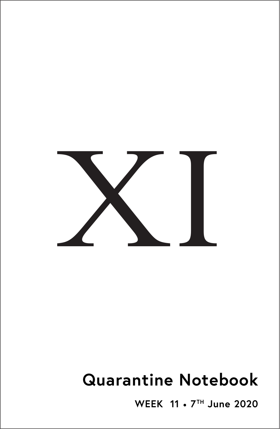

# **Quarantine Notebook**

**WEEK 11** • **7TH June 2020**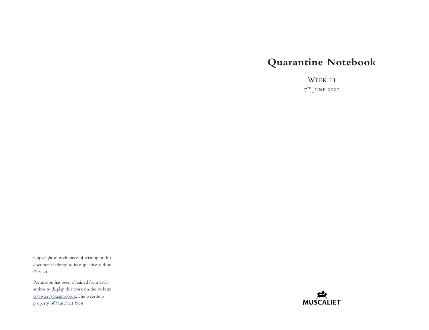# **Quarantine Notebook**

Week 11  $7<sup>th</sup>$  JUNE 2020

Copyright of each piece of writing in this document belongs to its respective author. © 2020

Permission has been obtained from each author to display this work on the website [www.muscaliet.co.uk.](https://www.muscaliet.co.uk) The website is property of Muscaliet Press.

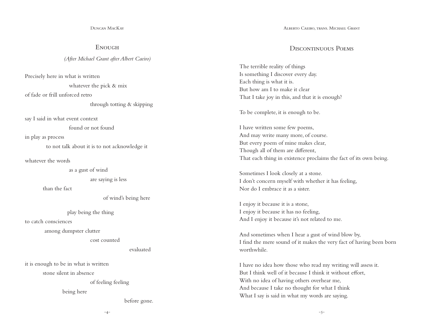Duncan MacKay

**ENOUGH** 

*(After Michael Grant after Albert Caeiro)*

Precisely here in what is written

whatever the pick & mix

of fade or frill unforced retro

through totting & skipping

say I said in what event context

found or not found

in play as process

to not talk about it is to not acknowledge it

whatever the words

as a gust of wind

are saying is less

than the fact

of wind's being here

play being the thing

to catch consciences

among dumpster clutter

cost counted

evaluated

it is enough to be in what is written

stone silent in absence

of feeling feeling

being here

before gone.

Alberto Caeiro, trans. Michael Grant

#### DISCONTINUOUS POEMS

The terrible reality of things Is something I discover every day. Each thing is what it is. But how am I to make it clear That I take joy in this, and that it is enough?

To be complete, it is enough to be.

I have written some few poems, And may write many more, of course. But every poem of mine makes clear, Though all of them are different, That each thing in existence proclaims the fact of its own being.

Sometimes I look closely at a stone. I don't concern myself with whether it has feeling, Nor do I embrace it as a sister.

I enjoy it because it is a stone, I enjoy it because it has no feeling, And I enjoy it because it's not related to me.

And sometimes when I hear a gust of wind blow by, I find the mere sound of it makes the very fact of having been born worthwhile.

I have no idea how those who read my writing will assess it. But I think well of it because I think it without effort, With no idea of having others overhear me, And because I take no thought for what I think What I say is said in what my words are saying.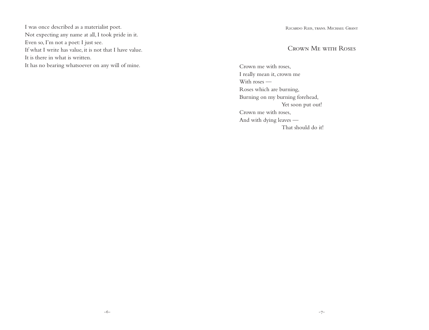I was once described as a materialist poet. Not expecting any name at all, I took pride in it. Even so, I'm not a poet: I just see. If what I write has value, it is not that I have value. It is there in what is written. It has no bearing whatsoever on any will of mine.

Ricardo Reis, trans. Michael Grant

## Crown Me with Roses

Crown me with roses, I really mean it, crown me With roses — Roses which are burning, Burning on my burning forehead, Yet soon put out! Crown me with roses, And with dying leaves — That should do it!